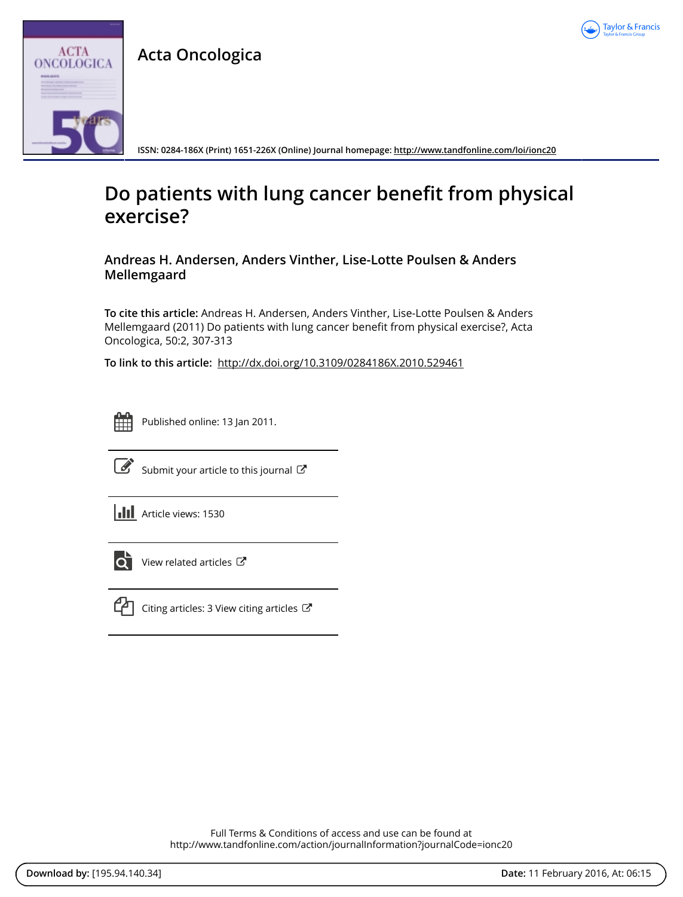

**Acta Oncologica**



**ISSN: 0284-186X (Print) 1651-226X (Online) Journal homepage:<http://www.tandfonline.com/loi/ionc20>**

# **Do patients with lung cancer benefit from physical exercise?**

**Andreas H. Andersen, Anders Vinther, Lise-Lotte Poulsen & Anders Mellemgaard**

**To cite this article:** Andreas H. Andersen, Anders Vinther, Lise-Lotte Poulsen & Anders Mellemgaard (2011) Do patients with lung cancer benefit from physical exercise?, Acta Oncologica, 50:2, 307-313

**To link to this article:** <http://dx.doi.org/10.3109/0284186X.2010.529461>



Published online: 13 Jan 2011.



 $\overrightarrow{S}$  [Submit your article to this journal](http://www.tandfonline.com/action/authorSubmission?journalCode=ionc20&page=instructions)  $\overrightarrow{S}$ 

**III** Article views: 1530



[View related articles](http://www.tandfonline.com/doi/mlt/10.3109/0284186X.2010.529461)  $\mathbb{Z}$ 



 $\Box$  [Citing articles: 3 View citing articles](http://www.tandfonline.com/doi/citedby/10.3109/0284186X.2010.529461#tabModule)  $\Box$ 

Full Terms & Conditions of access and use can be found at <http://www.tandfonline.com/action/journalInformation?journalCode=ionc20>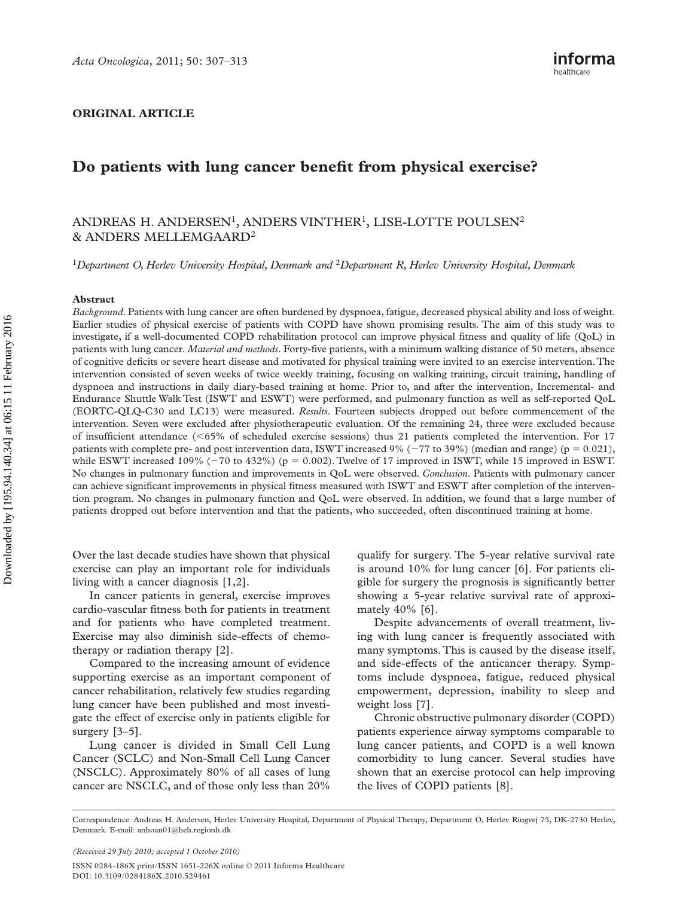# **ORIGINAL ARTICLE**

# Do patients with lung cancer benefit from physical exercise?

# ANDREAS H. ANDERSEN<sup>1</sup>, ANDERS VINTHER<sup>1</sup>, LISE-LOTTE POULSEN<sup>2</sup> & ANDERS MELLEMGAARD<sup>2</sup>

<sup>1</sup>Department O, Herlev University Hospital, Denmark and <sup>2</sup>Department R, Herlev University Hospital, Denmark

# **Abstract**

*Background*. Patients with lung cancer are often burdened by dyspnoea, fatigue, decreased physical ability and loss of weight. Earlier studies of physical exercise of patients with COPD have shown promising results. The aim of this study was to investigate, if a well-documented COPD rehabilitation protocol can improve physical fitness and quality of life (QoL) in patients with lung cancer. *Material and methods*. Forty-five patients, with a minimum walking distance of 50 meters, absence of cognitive deficits or severe heart disease and motivated for physical training were invited to an exercise intervention. The intervention consisted of seven weeks of twice weekly training, focusing on walking training, circuit training, handling of dyspnoea and instructions in daily diary-based training at home. Prior to, and after the intervention, Incremental- and Endurance Shuttle Walk Test (ISWT and ESWT) were performed, and pulmonary function as well as self-reported QoL (EORTC-QLQ-C30 and LC13) were measured. *Results*. Fourteen subjects dropped out before commencement of the intervention. Seven were excluded after physiotherapeutic evaluation. Of the remaining 24, three were excluded because of insufficient attendance  $(< 65\%$  of scheduled exercise sessions) thus 21 patients completed the intervention. For 17 patients with complete pre- and post intervention data, ISWT increased 9% ( $-77$  to 39%) (median and range) ( $p = 0.021$ ), while ESWT increased 109% ( $-70$  to 432%) (p = 0.002). Twelve of 17 improved in ISWT, while 15 improved in ESWT. No changes in pulmonary function and improvements in QoL were observed *. Conclusion*. Patients with pulmonary cancer can achieve significant improvements in physical fitness measured with ISWT and ESWT after completion of the intervention program. No changes in pulmonary function and QoL were observed. In addition, we found that a large number of patients dropped out before intervention and that the patients, who succeeded, often discontinued training at home.

Over the last decade studies have shown that physical exercise can play an important role for individuals living with a cancer diagnosis [1,2].

In cancer patients in general, exercise improves cardio-vascular fitness both for patients in treatment and for patients who have completed treatment. Exercise may also diminish side-effects of chemotherapy or radiation therapy [2].

Compared to the increasing amount of evidence supporting exercise as an important component of cancer rehabilitation, relatively few studies regarding lung cancer have been published and most investigate the effect of exercise only in patients eligible for surgery  $[3-5]$ .

Lung cancer is divided in Small Cell Lung Cancer (SCLC) and Non-Small Cell Lung Cancer (NSCLC). Approximately 80% of all cases of lung cancer are NSCLC, and of those only less than 20%

qualify for surgery. The 5-year relative survival rate is around 10% for lung cancer [6]. For patients eligible for surgery the prognosis is significantly better showing a 5-year relative survival rate of approximately 40% [6].

Despite advancements of overall treatment, living with lung cancer is frequently associated with many symptoms. This is caused by the disease itself, and side-effects of the anticancer therapy. Symptoms include dyspnoea, fatigue, reduced physical empowerment, depression, inability to sleep and weight loss [7].

Chronic obstructive pulmonary disorder (COPD) patients experience airway symptoms comparable to lung cancer patients, and COPD is a well known comorbidity to lung cancer. Several studies have shown that an exercise protocol can help improving the lives of COPD patients [8].

Downloaded by [195.94.140.34] at 06:15 11 February 2016 Downloaded by [195.94.140.34] at 06:15 11 February 2016

ISSN 0284-186X print/ISSN 1651-226X online © 2011 Informa Healthcare DOI: 10.3109/0284186X.2010.529461

Correspondence: Andreas H. Andersen, Herlev University Hospital, Department of Physical Therapy, Department O, Herlev Ringvej 75, DK-2730 Herlev, Denmark. E-mail: anhoan01@heh.regionh.dk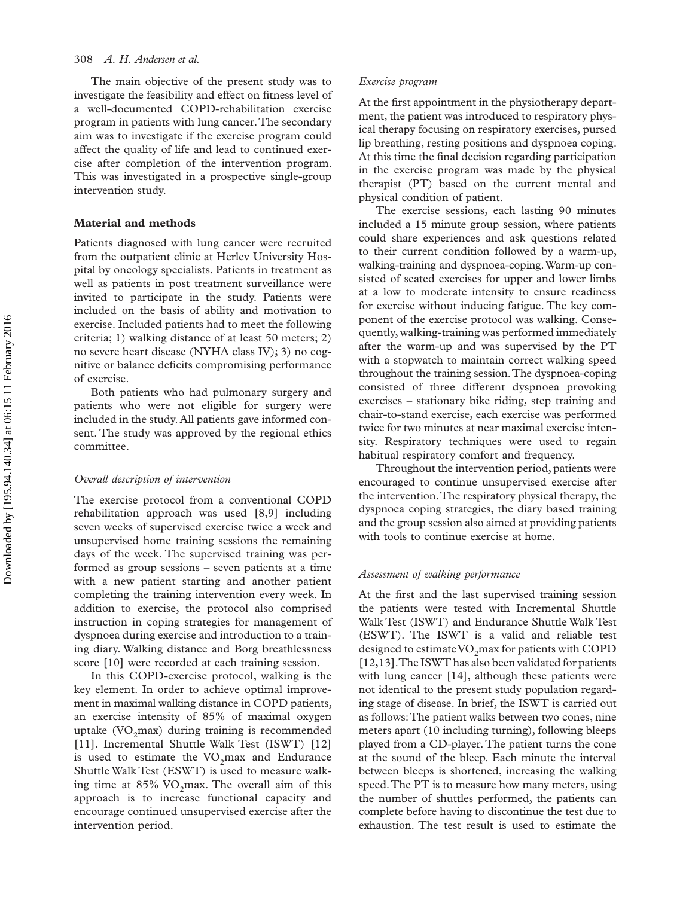The main objective of the present study was to investigate the feasibility and effect on fitness level of a well-documented COPD-rehabilitation exercise program in patients with lung cancer. The secondary aim was to investigate if the exercise program could affect the quality of life and lead to continued exercise after completion of the intervention program. This was investigated in a prospective single-group intervention study.

## **Material and methods**

Patients diagnosed with lung cancer were recruited from the outpatient clinic at Herlev University Hospital by oncology specialists. Patients in treatment as well as patients in post treatment surveillance were invited to participate in the study. Patients were included on the basis of ability and motivation to exercise. Included patients had to meet the following criteria; 1) walking distance of at least 50 meters; 2) no severe heart disease (NYHA class IV); 3) no cognitive or balance deficits compromising performance of exercise.

Both patients who had pulmonary surgery and patients who were not eligible for surgery were included in the study. All patients gave informed consent. The study was approved by the regional ethics committee.

# *Overall description of intervention*

The exercise protocol from a conventional COPD rehabilitation approach was used [8,9] including seven weeks of supervised exercise twice a week and unsupervised home training sessions the remaining days of the week. The supervised training was performed as group sessions  $-$  seven patients at a time with a new patient starting and another patient completing the training intervention every week. In addition to exercise, the protocol also comprised instruction in coping strategies for management of dyspnoea during exercise and introduction to a training diary. Walking distance and Borg breathlessness score [10] were recorded at each training session.

In this COPD-exercise protocol, walking is the key element. In order to achieve optimal improvement in maximal walking distance in COPD patients, an exercise intensity of 85% of maximal oxygen uptake (VO<sub>2</sub>max) during training is recommended [11]. Incremental Shuttle Walk Test (ISWT) [12] is used to estimate the  $VO<sub>2</sub>$ max and Endurance Shuttle Walk Test (ESWT) is used to measure walking time at  $85\%$  VO<sub>2</sub>max. The overall aim of this approach is to increase functional capacity and encourage continued unsupervised exercise after the intervention period.

#### *Exercise program*

At the first appointment in the physiotherapy department, the patient was introduced to respiratory physical therapy focusing on respiratory exercises, pursed lip breathing, resting positions and dyspnoea coping. At this time the final decision regarding participation in the exercise program was made by the physical therapist (PT) based on the current mental and physical condition of patient.

The exercise sessions, each lasting 90 minutes included a 15 minute group session, where patients could share experiences and ask questions related to their current condition followed by a warm-up, walking-training and dyspnoea-coping. Warm-up consisted of seated exercises for upper and lower limbs at a low to moderate intensity to ensure readiness for exercise without inducing fatigue. The key component of the exercise protocol was walking. Consequently, walking-training was performed immediately after the warm-up and was supervised by the PT with a stopwatch to maintain correct walking speed throughout the training session. The dyspnoea-coping consisted of three different dyspnoea provoking exercises – stationary bike riding, step training and chair-to-stand exercise, each exercise was performed twice for two minutes at near maximal exercise intensity. Respiratory techniques were used to regain habitual respiratory comfort and frequency.

Throughout the intervention period, patients were encouraged to continue unsupervised exercise after the intervention. The respiratory physical therapy, the dyspnoea coping strategies, the diary based training and the group session also aimed at providing patients with tools to continue exercise at home.

# *Assessment of walking performance*

At the first and the last supervised training session the patients were tested with Incremental Shuttle Walk Test (ISWT) and Endurance Shuttle Walk Test (ESWT). The ISWT is a valid and reliable test designed to estimate  $VO<sub>2</sub>$ max for patients with COPD [12,13]. The ISWT has also been validated for patients with lung cancer [14], although these patients were not identical to the present study population regarding stage of disease. In brief, the ISWT is carried out as follows: The patient walks between two cones, nine meters apart (10 including turning), following bleeps played from a CD-player. The patient turns the cone at the sound of the bleep. Each minute the interval between bleeps is shortened, increasing the walking speed. The PT is to measure how many meters, using the number of shuttles performed, the patients can complete before having to discontinue the test due to exhaustion. The test result is used to estimate the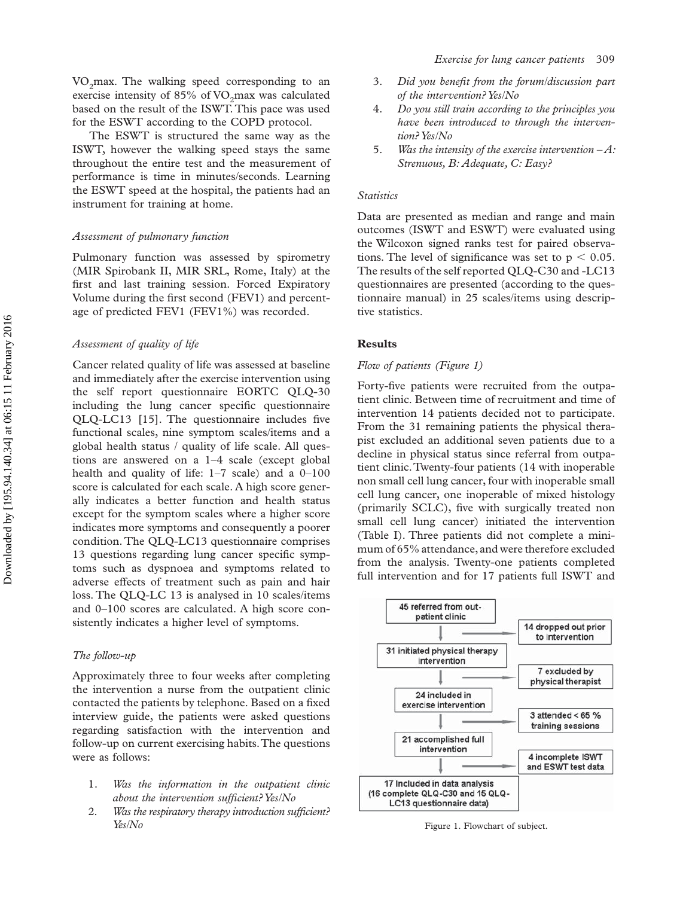VO<sub>2</sub>max. The walking speed corresponding to an exercise intensity of  $85\%$  of VO<sub>2</sub>max was calculated based on the result of the ISWT. This pace was used for the ESWT according to the COPD protocol.

The ESWT is structured the same way as the ISWT, however the walking speed stays the same throughout the entire test and the measurement of performance is time in minutes/seconds. Learning the ESWT speed at the hospital, the patients had an instrument for training at home.

# *Assessment of pulmonary function*

Pulmonary function was assessed by spirometry (MIR Spirobank II, MIR SRL, Rome, Italy) at the first and last training session. Forced Expiratory Volume during the first second (FEV1) and percentage of predicted FEV1 (FEV1%) was recorded.

# *Assessment of quality of life*

Cancer related quality of life was assessed at baseline and immediately after the exercise intervention using the self report questionnaire EORTC QLQ-30 including the lung cancer specific questionnaire QLQ-LC13 [15]. The questionnaire includes five functional scales, nine symptom scales/items and a global health status / quality of life scale. All questions are answered on a  $1-4$  scale (except global health and quality of life:  $1-7$  scale) and a  $0-100$ score is calculated for each scale. A high score generally indicates a better function and health status except for the symptom scales where a higher score indicates more symptoms and consequently a poorer condition. The QLQ-LC13 questionnaire comprises 13 questions regarding lung cancer specific symptoms such as dyspnoea and symptoms related to adverse effects of treatment such as pain and hair loss. The QLQ-LC 13 is analysed in 10 scales/items and  $0-100$  scores are calculated. A high score consistently indicates a higher level of symptoms.

# *The follow-up*

Approximately three to four weeks after completing the intervention a nurse from the outpatient clinic contacted the patients by telephone. Based on a fixed interview guide, the patients were asked questions regarding satisfaction with the intervention and follow-up on current exercising habits. The questions were as follows:

- 1. *Was the information in the outpatient clinic about the intervention suffi cient? Yes/No*
- 2. *Was the respiratory therapy introduction sufficient? Yes/No*
- 3. *Did you benefi t from the forum/discussion part of the intervention? Yes/No*
- 4. *Do you still train according to the principles you have been introduced to through the intervention? Yes/No*
- 5. *Was the intensity of the exercise intervention –A: Strenuous, B: Adequate, C: Easy?*

# *Statistics*

Data are presented as median and range and main outcomes (ISWT and ESWT) were evaluated using the Wilcoxon signed ranks test for paired observations. The level of significance was set to  $p < 0.05$ . The results of the self reported QLQ-C30 and -LC13 questionnaires are presented (according to the questionnaire manual) in 25 scales/items using descriptive statistics.

# **Results**

# *Flow of patients (Figure 1)*

Forty-five patients were recruited from the outpatient clinic. Between time of recruitment and time of intervention 14 patients decided not to participate. From the 31 remaining patients the physical therapist excluded an additional seven patients due to a decline in physical status since referral from outpatient clinic. Twenty-four patients (14 with inoperable non small cell lung cancer, four with inoperable small cell lung cancer, one inoperable of mixed histology (primarily SCLC), five with surgically treated non small cell lung cancer) initiated the intervention (Table I). Three patients did not complete a minimum of 65% attendance, and were therefore excluded from the analysis. Twenty-one patients completed full intervention and for 17 patients full ISWT and



Figure 1.Flowchart of subject.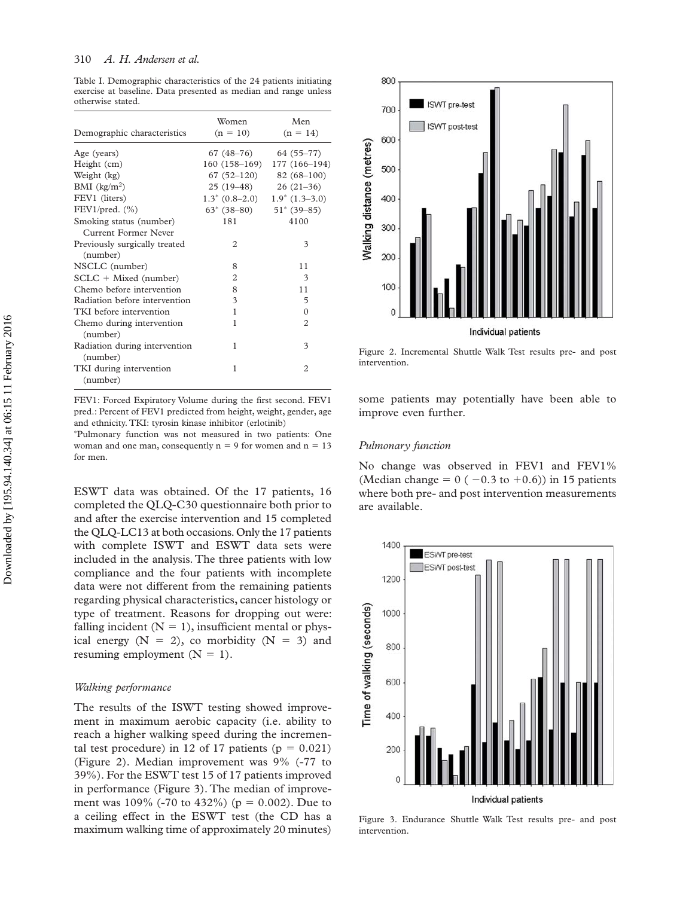Table I. Demographic characteristics of the 24 patients initiating exercise at baseline. Data presented as median and range unless otherwise stated.

| Demographic characteristics               | Women<br>$(n = 10)$                 | Men<br>$(n = 14)$             |
|-------------------------------------------|-------------------------------------|-------------------------------|
| Age (years)                               | 67 (48–76)                          | $64(55-77)$                   |
| Height (cm)                               | $160(158-169)$                      | 177 (166-194)                 |
| Weight (kg)                               | $67(52-120)$                        | $82(68-100)$                  |
| BMI $(kg/m2)$                             | $25(19-48)$ $26(21-36)$             |                               |
| FEV1 (liters)                             | $1.3^*$ (0.8–2.0) $1.9^*$ (1.3–3.0) |                               |
| FEV1/pred. $(\% )$                        | $63^*$ (38-80) $51^*$ (39-85)       |                               |
| Smoking status (number)                   | 181                                 | 4100                          |
| Current Former Never                      |                                     |                               |
| Previously surgically treated             | 2                                   | 3                             |
| (number)                                  |                                     |                               |
| NSCLC (number)                            | 8                                   | 11                            |
| SCLC + Mixed (number)                     | 2                                   | $\mathcal{E}$                 |
| Chemo before intervention                 | 8                                   | 11                            |
| Radiation before intervention             | 3                                   | 5                             |
| TKI before intervention                   | 1                                   | $\Omega$                      |
| Chemo during intervention<br>(number)     | 1                                   | $\overline{c}$                |
| Radiation during intervention<br>(number) | 1                                   | $\mathbf{3}$                  |
| TKI during intervention<br>(number)       | 1                                   | $\mathfrak{D}_{\mathfrak{p}}$ |

FEV1: Forced Expiratory Volume during the first second. FEV1 pred.: Percent of FEV1 predicted from height, weight, gender, age and ethnicity. TKI: tyrosin kinase inhibitor (erlotinib)

<sup>∗</sup>Pulmonary function was not measured in two patients: One woman and one man, consequently  $n = 9$  for women and  $n = 13$ for men.

ESWT data was obtained. Of the 17 patients, 16 completed the QLQ-C30 questionnaire both prior to and after the exercise intervention and 15 completed the QLQ-LC13 at both occasions. Only the 17 patients with complete ISWT and ESWT data sets were included in the analysis. The three patients with low compliance and the four patients with incomplete data were not different from the remaining patients regarding physical characteristics, cancer histology or type of treatment. Reasons for dropping out were: falling incident  $(N = 1)$ , insufficient mental or physical energy  $(N = 2)$ , co morbidity  $(N = 3)$  and resuming employment  $(N = 1)$ .

#### *Walking performance*

The results of the ISWT testing showed improvement in maximum aerobic capacity (i.e. ability to reach a higher walking speed during the incremental test procedure) in 12 of 17 patients ( $p = 0.021$ ) (Figure 2). Median improvement was 9% (-77 to 39%). For the ESWT test 15 of 17 patients improved in performance (Figure 3). The median of improvement was 109% (-70 to 432%) ( $p = 0.002$ ). Due to a ceiling effect in the ESWT test (the CD has a maximum walking time of approximately 20 minutes)



Figure 2.Incremental Shuttle Walk Test results pre- and post intervention.

some patients may potentially have been able to improve even further.

# *Pulmonary function*

No change was observed in FEV1 and FEV1% (Median change =  $0 (-0.3 \text{ to } +0.6)$ ) in 15 patients where both pre- and post intervention measurements are available.



Figure 3.Endurance Shuttle Walk Test results pre- and post intervention.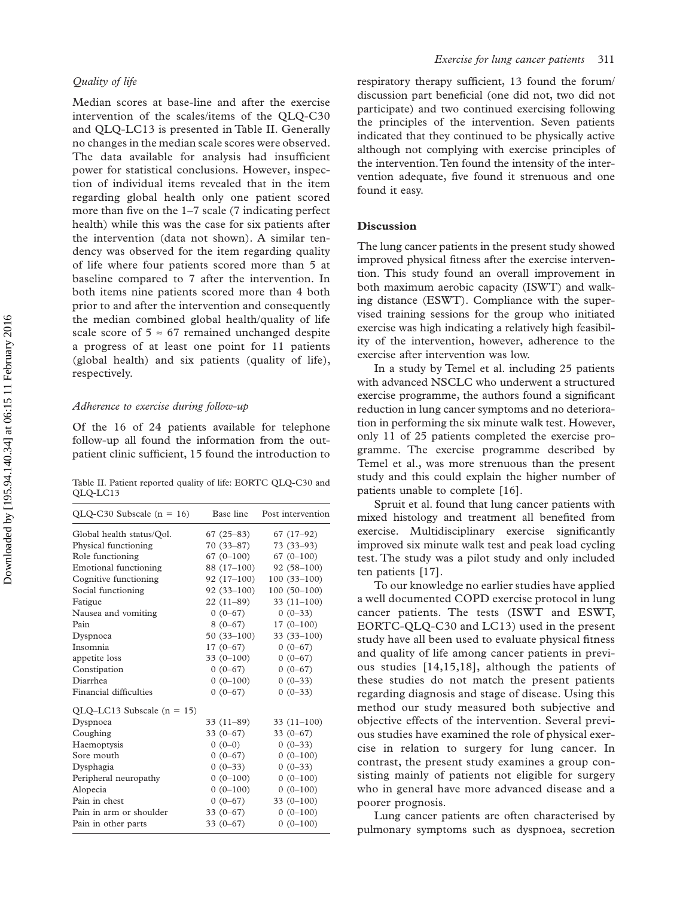# *Quality of life*

Median scores at base-line and after the exercise intervention of the scales/items of the QLQ-C30 and QLQ-LC13 is presented in Table II. Generally no changes in the median scale scores were observed. The data available for analysis had insufficient power for statistical conclusions. However, inspection of individual items revealed that in the item regarding global health only one patient scored more than five on the  $1-7$  scale (7 indicating perfect health) while this was the case for six patients after the intervention (data not shown). A similar tendency was observed for the item regarding quality of life where four patients scored more than 5 at baseline compared to 7 after the intervention. In both items nine patients scored more than 4 both prior to and after the intervention and consequently the median combined global health/quality of life scale score of  $5 \approx 67$  remained unchanged despite a progress of at least one point for 11 patients (global health) and six patients (quality of life), respectively.

# *Adherence to exercise during follow-up*

Of the 16 of 24 patients available for telephone follow-up all found the information from the outpatient clinic sufficient, 15 found the introduction to

Table II. Patient reported quality of life: EORTC QLQ-C30 and QLQ-LC13

| QLQ-C30 Subscale $(n = 16)$  | Base line     | Post intervention |
|------------------------------|---------------|-------------------|
| Global health status/Qol.    | 67 (25–83)    | $67(17-92)$       |
| Physical functioning         | $70(33 - 87)$ | $73(33-93)$       |
| Role functioning             | $67(0-100)$   | $67(0-100)$       |
| <b>Emotional functioning</b> | $88(17-100)$  | $92(58-100)$      |
| Cognitive functioning        | $92(17-100)$  | $100(33-100)$     |
| Social functioning           | $92(33-100)$  | $100(50-100)$     |
| Fatigue                      | $22(11-89)$   | $33(11-100)$      |
| Nausea and vomiting          | $0(0-67)$     | $0(0-33)$         |
| Pain                         | $8(0-67)$     | $17(0-100)$       |
| Dyspnoea                     | $50(33-100)$  | $33(33 - 100)$    |
| Insomnia                     | $17(0-67)$    | $0(0-67)$         |
| appetite loss                | $33(0-100)$   | $0(0-67)$         |
| Constipation                 | $0(0-67)$     | $0(0-67)$         |
| Diarrhea                     | $0(0-100)$    | $0(0-33)$         |
| Financial difficulties       | $0(0-67)$     | $0(0-33)$         |
| QLQ-LC13 Subscale $(n = 15)$ |               |                   |
| Dyspnoea                     | $33(11-89)$   | $33(11-100)$      |
| Coughing                     | $33(0-67)$    | $33(0-67)$        |
| Haemoptysis                  | $0(0-0)$      | $0(0-33)$         |
| Sore mouth                   | $0(0-67)$     | $0(0-100)$        |
| Dysphagia                    | $0(0-33)$     | $0(0-33)$         |
| Peripheral neuropathy        | $0(0-100)$    | $0(0-100)$        |
| Alopecia                     | $0(0-100)$    | $0(0-100)$        |
| Pain in chest                | $0(0-67)$     | $33(0-100)$       |
| Pain in arm or shoulder      | $33(0-67)$    | $0(0-100)$        |
| Pain in other parts          | $33(0-67)$    | $0(0-100)$        |

respiratory therapy sufficient, 13 found the forum/ discussion part beneficial (one did not, two did not participate) and two continued exercising following the principles of the intervention. Seven patients indicated that they continued to be physically active although not complying with exercise principles of the intervention. Ten found the intensity of the intervention adequate, five found it strenuous and one found it easy.

### **Discussion**

The lung cancer patients in the present study showed improved physical fitness after the exercise intervention. This study found an overall improvement in both maximum aerobic capacity (ISWT) and walking distance (ESWT). Compliance with the supervised training sessions for the group who initiated exercise was high indicating a relatively high feasibility of the intervention, however, adherence to the exercise after intervention was low.

In a study by Temel et al. including 25 patients with advanced NSCLC who underwent a structured exercise programme, the authors found a significant reduction in lung cancer symptoms and no deterioration in performing the six minute walk test. However, only 11 of 25 patients completed the exercise programme. The exercise programme described by Temel et al., was more strenuous than the present study and this could explain the higher number of patients unable to complete [16].

Spruit et al. found that lung cancer patients with mixed histology and treatment all benefited from exercise. Multidisciplinary exercise significantly improved six minute walk test and peak load cycling test. The study was a pilot study and only included ten patients [17].

To our knowledge no earlier studies have applied a well documented COPD exercise protocol in lung cancer patients. The tests (ISWT and ESWT, EORTC-QLQ-C30 and LC13) used in the present study have all been used to evaluate physical fitness and quality of life among cancer patients in previous studies [14,15,18], although the patients of these studies do not match the present patients regarding diagnosis and stage of disease. Using this method our study measured both subjective and objective effects of the intervention. Several previous studies have examined the role of physical exercise in relation to surgery for lung cancer. In contrast, the present study examines a group consisting mainly of patients not eligible for surgery who in general have more advanced disease and a poorer prognosis.

Lung cancer patients are often characterised by pulmonary symptoms such as dyspnoea, secretion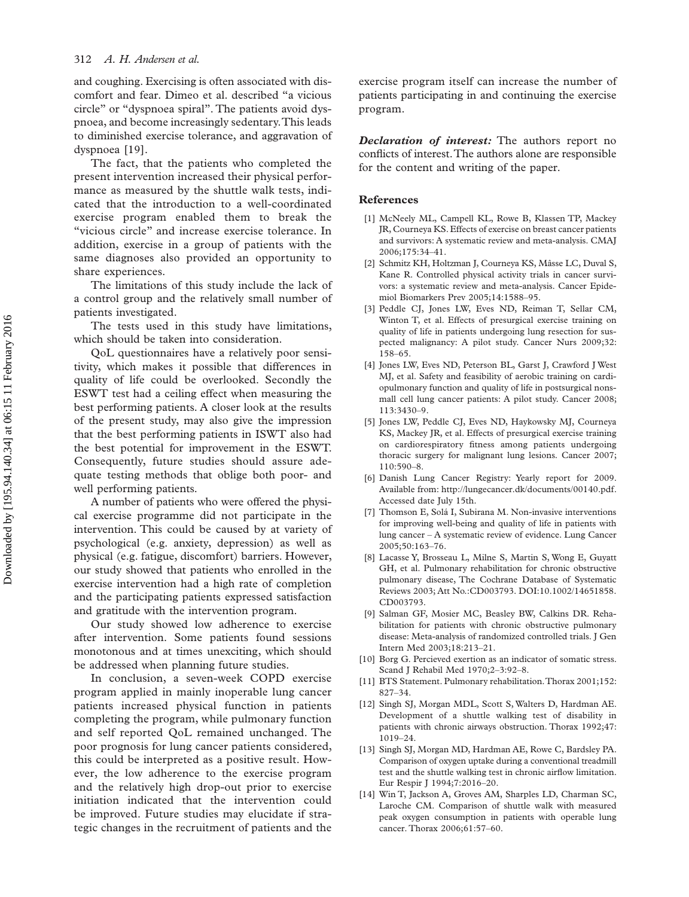and coughing. Exercising is often associated with discomfort and fear. Dimeo et al. described "a vicious circle" or "dyspnoea spiral". The patients avoid dyspnoea, and become increasingly sedentary. This leads to diminished exercise tolerance, and aggravation of dyspnoea [19].

The fact, that the patients who completed the present intervention increased their physical performance as measured by the shuttle walk tests, indicated that the introduction to a well-coordinated exercise program enabled them to break the "vicious circle" and increase exercise tolerance. In addition, exercise in a group of patients with the same diagnoses also provided an opportunity to share experiences.

The limitations of this study include the lack of a control group and the relatively small number of patients investigated.

The tests used in this study have limitations, which should be taken into consideration.

QoL questionnaires have a relatively poor sensitivity, which makes it possible that differences in quality of life could be overlooked. Secondly the ESWT test had a ceiling effect when measuring the best performing patients. A closer look at the results of the present study, may also give the impression that the best performing patients in ISWT also had the best potential for improvement in the ESWT. Consequently, future studies should assure adequate testing methods that oblige both poor- and well performing patients.

A number of patients who were offered the physical exercise programme did not participate in the intervention. This could be caused by at variety of psychological (e.g. anxiety, depression) as well as physical (e.g. fatigue, discomfort) barriers. However, our study showed that patients who enrolled in the exercise intervention had a high rate of completion and the participating patients expressed satisfaction and gratitude with the intervention program.

Our study showed low adherence to exercise after intervention. Some patients found sessions monotonous and at times unexciting, which should be addressed when planning future studies.

In conclusion, a seven-week COPD exercise program applied in mainly inoperable lung cancer patients increased physical function in patients completing the program, while pulmonary function and self reported QoL remained unchanged. The poor prognosis for lung cancer patients considered, this could be interpreted as a positive result. However, the low adherence to the exercise program and the relatively high drop-out prior to exercise initiation indicated that the intervention could be improved. Future studies may elucidate if strategic changes in the recruitment of patients and the exercise program itself can increase the number of patients participating in and continuing the exercise program.

*Declaration of interest:* The authors report no conflicts of interest. The authors alone are responsible for the content and writing of the paper.

#### **References**

- [1] McNeely ML, Campell KL, Rowe B, Klassen TP, Mackey JR, Courneya KS. Effects of exercise on breast cancer patients and survivors: A systematic review and meta-analysis. CMAJ  $2006:175:34 - 41$
- [2] Schmitz KH, Holtzman J, Courneya KS, Mâsse LC, Duval S, Kane R. Controlled physical activity trials in cancer survivors: a systematic review and meta-analysis. Cancer Epidemiol Biomarkers Prev 2005;14:1588-95.
- [3] Peddle CJ, Jones LW, Eves ND, Reiman T, Sellar CM, Winton T, et al. Effects of presurgical exercise training on quality of life in patients undergoing lung resection for suspected malignancy: A pilot study. Cancer Nurs 2009;32: 158-65
- [4] Jones LW, Eves ND, Peterson BL, Garst J, Crawford J West MJ, et al. Safety and feasibility of aerobic training on cardiopulmonary function and quality of life in postsurgical nonsmall cell lung cancer patients: A pilot study. Cancer 2008; 113:3430 – 9.
- [5] Jones LW, Peddle CJ, Eves ND, Haykowsky MJ, Courneya KS, Mackey JR, et al. Effects of presurgical exercise training on cardiorespiratory fitness among patients undergoing thoracic surgery for malignant lung lesions. Cancer 2007;  $110:590 - 8.$
- [6] Danish Lung Cancer Registry: Yearly report for 2009. Available from: http://lungecancer.dk/documents/00140.pdf. Accessed date July 15th.
- [7] Thomson E, Solá I, Subirana M. Non-invasive interventions for improving well-being and quality of life in patients with lung cancer –A systematic review of evidence. Lung Cancer 2005;50:163-76.
- [8] Lacasse Y, Brosseau L, Milne S, Martin S, Wong E, Guyatt GH, et al. Pulmonary rehabilitation for chronic obstructive pulmonary disease, The Cochrane Database of Systematic Reviews 2003; Att No.:CD003793. DOI:10.1002/14651858. CD003793.
- [9] Salman GF, Mosier MC, Beasley BW, Calkins DR. Rehabilitation for patients with chronic obstructive pulmonary disease: Meta-analysis of randomized controlled trials. J Gen Intern Med 2003;18:213-21.
- [10] Borg G. Percieved exertion as an indicator of somatic stress. Scand J Rehabil Med 1970;2-3:92-8.
- [11] BTS Statement. Pulmonary rehabilitation. Thorax 2001;152: 827 – 34.
- [12] Singh SJ, Morgan MDL, Scott S, Walters D, Hardman AE. Development of a shuttle walking test of disability in patients with chronic airways obstruction. Thorax 1992;47: 1019 – 24.
- [13] Singh SJ, Morgan MD, Hardman AE, Rowe C, Bardsley PA. Comparison of oxygen uptake during a conventional treadmill test and the shuttle walking test in chronic airflow limitation. Eur Respir J 1994;7:2016-20.
- [14] Win T, Jackson A, Groves AM, Sharples LD, Charman SC, Laroche CM. Comparison of shuttle walk with measured peak oxygen consumption in patients with operable lung cancer. Thorax 2006;61:57-60.